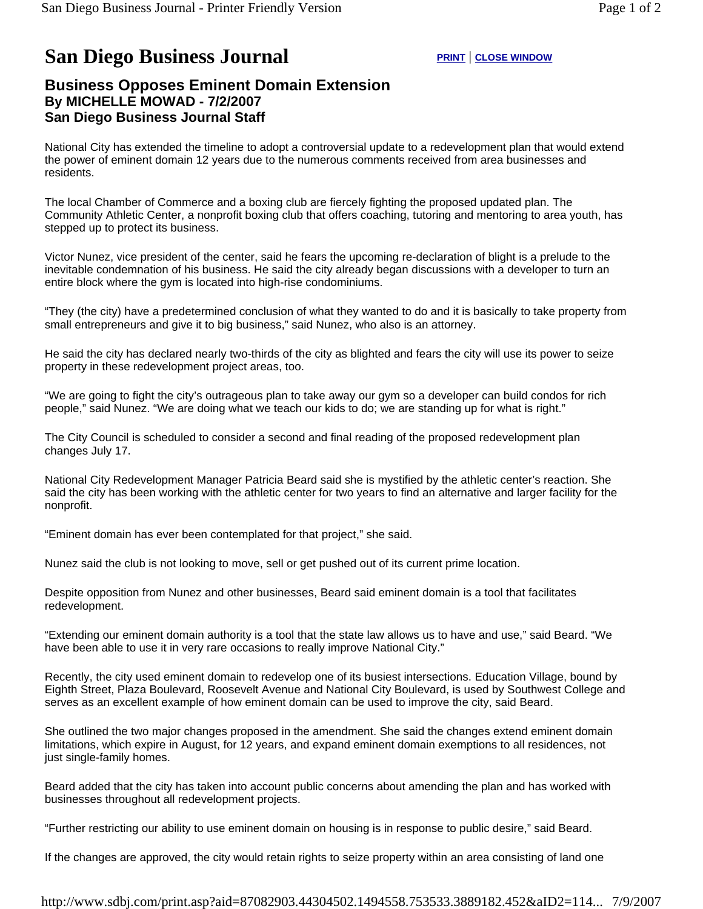## **San Diego Business Journal PRINT** | **CLOSE WINDOW**

## **Business Opposes Eminent Domain Extension By MICHELLE MOWAD - 7/2/2007 San Diego Business Journal Staff**

National City has extended the timeline to adopt a controversial update to a redevelopment plan that would extend the power of eminent domain 12 years due to the numerous comments received from area businesses and residents.

The local Chamber of Commerce and a boxing club are fiercely fighting the proposed updated plan. The Community Athletic Center, a nonprofit boxing club that offers coaching, tutoring and mentoring to area youth, has stepped up to protect its business.

Victor Nunez, vice president of the center, said he fears the upcoming re-declaration of blight is a prelude to the inevitable condemnation of his business. He said the city already began discussions with a developer to turn an entire block where the gym is located into high-rise condominiums.

"They (the city) have a predetermined conclusion of what they wanted to do and it is basically to take property from small entrepreneurs and give it to big business," said Nunez, who also is an attorney.

He said the city has declared nearly two-thirds of the city as blighted and fears the city will use its power to seize property in these redevelopment project areas, too.

"We are going to fight the city's outrageous plan to take away our gym so a developer can build condos for rich people," said Nunez. "We are doing what we teach our kids to do; we are standing up for what is right."

The City Council is scheduled to consider a second and final reading of the proposed redevelopment plan changes July 17.

National City Redevelopment Manager Patricia Beard said she is mystified by the athletic center's reaction. She said the city has been working with the athletic center for two years to find an alternative and larger facility for the nonprofit.

"Eminent domain has ever been contemplated for that project," she said.

Nunez said the club is not looking to move, sell or get pushed out of its current prime location.

Despite opposition from Nunez and other businesses, Beard said eminent domain is a tool that facilitates redevelopment.

"Extending our eminent domain authority is a tool that the state law allows us to have and use," said Beard. "We have been able to use it in very rare occasions to really improve National City."

Recently, the city used eminent domain to redevelop one of its busiest intersections. Education Village, bound by Eighth Street, Plaza Boulevard, Roosevelt Avenue and National City Boulevard, is used by Southwest College and serves as an excellent example of how eminent domain can be used to improve the city, said Beard.

She outlined the two major changes proposed in the amendment. She said the changes extend eminent domain limitations, which expire in August, for 12 years, and expand eminent domain exemptions to all residences, not just single-family homes.

Beard added that the city has taken into account public concerns about amending the plan and has worked with businesses throughout all redevelopment projects.

"Further restricting our ability to use eminent domain on housing is in response to public desire," said Beard.

If the changes are approved, the city would retain rights to seize property within an area consisting of land one